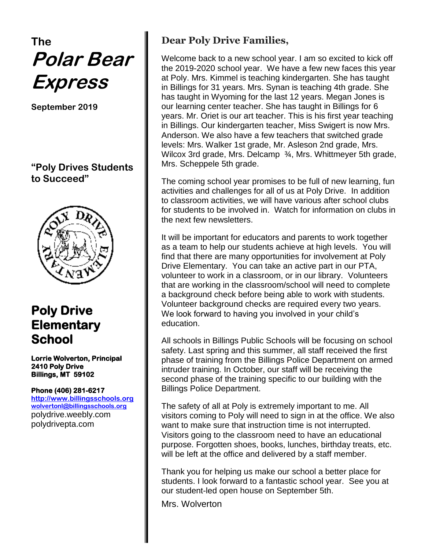# **The Polar Bear Express**

**September 2019**

**"Poly Drives Students to Succeed"**



# **Poly Drive Elementary School**

**Lorrie Wolverton, Principal 2410 Poly Drive Billings, MT 59102** 

#### **Phone (406) 281-6217**

**[http://www.billingsschools.org](http://www.billingsschools.org/) [wolvertonl@billingsschools.org](mailto:wolvertonl@billingsschools.org)** polydrive.weebly.com polydrivepta.com

## **Dear Poly Drive Families,**

Welcome back to a new school year. I am so excited to kick off the 2019-2020 school year. We have a few new faces this year at Poly. Mrs. Kimmel is teaching kindergarten. She has taught in Billings for 31 years. Mrs. Synan is teaching 4th grade. She has taught in Wyoming for the last 12 years. Megan Jones is our learning center teacher. She has taught in Billings for 6 years. Mr. Oriet is our art teacher. This is his first year teaching in Billings. Our kindergarten teacher, Miss Swigert is now Mrs. Anderson. We also have a few teachers that switched grade levels: Mrs. Walker 1st grade, Mr. Asleson 2nd grade, Mrs. Wilcox 3rd grade, Mrs. Delcamp 34, Mrs. Whittmeyer 5th grade, Mrs. Scheppele 5th grade.

The coming school year promises to be full of new learning, fun activities and challenges for all of us at Poly Drive. In addition to classroom activities, we will have various after school clubs for students to be involved in. Watch for information on clubs in the next few newsletters.

It will be important for educators and parents to work together as a team to help our students achieve at high levels. You will find that there are many opportunities for involvement at Poly Drive Elementary. You can take an active part in our PTA, volunteer to work in a classroom, or in our library. Volunteers that are working in the classroom/school will need to complete a background check before being able to work with students. Volunteer background checks are required every two years. We look forward to having you involved in your child's education.

All schools in Billings Public Schools will be focusing on school safety. Last spring and this summer, all staff received the first phase of training from the Billings Police Department on armed intruder training. In October, our staff will be receiving the second phase of the training specific to our building with the Billings Police Department.

The safety of all at Poly is extremely important to me. All visitors coming to Poly will need to sign in at the office. We also want to make sure that instruction time is not interrupted. Visitors going to the classroom need to have an educational purpose. Forgotten shoes, books, lunches, birthday treats, etc. will be left at the office and delivered by a staff member.

Thank you for helping us make our school a better place for students. I look forward to a fantastic school year. See you at our student-led open house on September 5th.

Mrs. Wolverton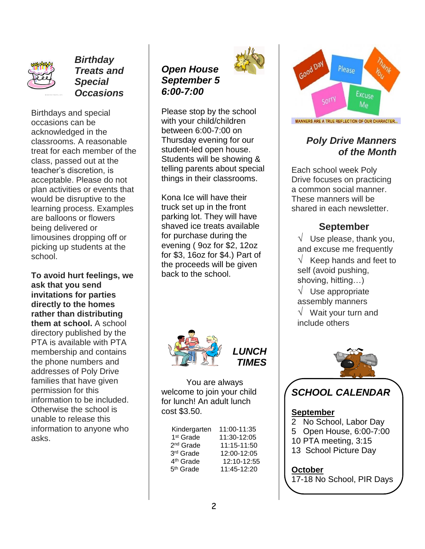

*Birthday Treats and Special Occasions*

Birthdays and special occasions can be acknowledged in the classrooms. A reasonable treat for each member of the class, passed out at the teacher's discretion, is acceptable. Please do not plan activities or events that would be disruptive to the learning process. Examples are balloons or flowers being delivered or limousines dropping off or picking up students at the school.

**To avoid hurt feelings, we ask that you send invitations for parties directly to the homes rather than distributing them at school.** A school directory published by the PTA is available with PTA membership and contains the phone numbers and addresses of Poly Drive families that have given permission for this information to be included. Otherwise the school is unable to release this information to anyone who asks.



Please stop by the school with your child/children between 6:00-7:00 on Thursday evening for our student-led open house. Students will be showing & telling parents about special things in their classrooms.

Kona Ice will have their truck set up in the front parking lot. They will have shaved ice treats available for purchase during the evening ( 9oz for \$2, 12oz for \$3, 16oz for \$4.) Part of the proceeds will be given back to the school.



You are always welcome to join your child for lunch! An adult lunch cost \$3.50.

| Kindergarten          | 11:00-11:35 |
|-----------------------|-------------|
| 1 <sup>st</sup> Grade | 11:30-12:05 |
| 2 <sup>nd</sup> Grade | 11:15-11:50 |
| 3rd Grade             | 12:00-12:05 |
| 4 <sup>th</sup> Grade | 12:10-12:55 |
| 5 <sup>th</sup> Grade | 11:45-12:20 |



Please Excuse Sorry  $M_{\rm P}$ MANNERS ARE A TRUE REFLECTION OF OUR CHARACTER...

### *Poly Drive Manners of the Month*

Each school week Poly Drive focuses on practicing a common social manner. These manners will be shared in each newsletter.

#### **September**

 $\sqrt{ }$  Use please, thank you, and excuse me frequently  $\sqrt{\phantom{a}}$  Keep hands and feet to self (avoid pushing, shoving, hitting…)  $\sqrt{\phantom{a}}$  Use appropriate assembly manners  $\sqrt{ }$  Wait your turn and include others



# *SCHOOL CALENDAR*

#### **September**

- 2 No School, Labor Day
- 5 Open House, 6:00-7:00
- 10 PTA meeting, 3:15
- 13 School Picture Day

#### **October**

17-18 No School, PIR Days